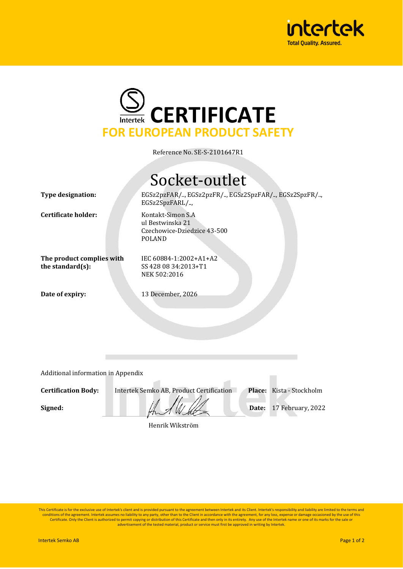



Reference No. SE-S-2101647R1

## Socket-outlet

**Type designation:** EGSz2pzFAR/.., EGSz2pzFR/.., EGSz2SpzFAR/.., EGSz2SpzFR/..,

**Certificate holder:** Kontakt-Simon S.A

ul Bestwinska 21 Czechowice-Dziedzice 43-500 POLAND

**The product complies with the standard(s):**

IEC 60884-1:2002+A1+A2 SS 428 08 34:2013+T1 NEK 502:2016

**Date of expiry:** 13 December, 2026

EGSz2SpzFARL/..,

Additional information in Appendix

**Certification Body:** Intertek Semko AB, Product Certification **Place:** Kista - Stockholm

**Signed:**  $\frac{1}{2}$   $\frac{1}{2}$   $\frac{1}{2}$   $\frac{1}{2}$  **Date:** 17 February, 2022

Henrik Wikström

This Certificate is for the exclusive use of Intertek's client and is provided pursuant to the agreement between Intertek and its Client. Intertek's responsibility and liability are limited to the terms and conditions of the agreement. Intertek assumes no liability to any party, other than to the Client in accordance with the agreement, for any loss, expense or damage occasioned by the use of this<br>Certificate. Only the Client